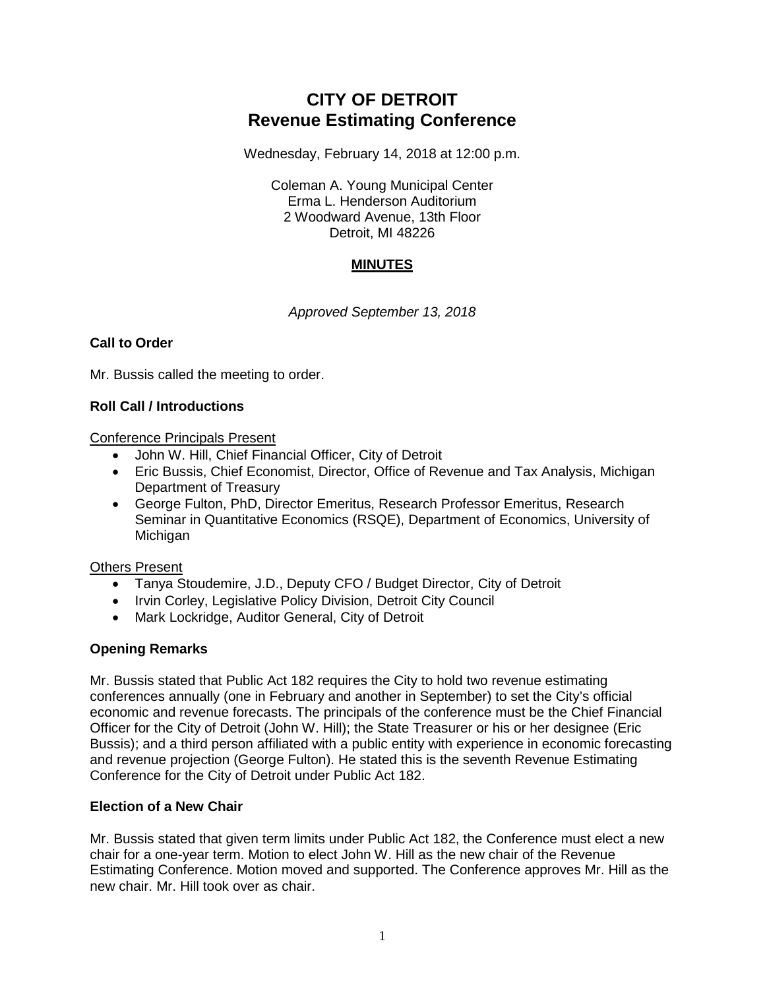# **CITY OF DETROIT Revenue Estimating Conference**

Wednesday, February 14, 2018 at 12:00 p.m.

Coleman A. Young Municipal Center Erma L. Henderson Auditorium 2 Woodward Avenue, 13th Floor Detroit, MI 48226

# **MINUTES**

*Approved September 13, 2018*

## **Call to Order**

Mr. Bussis called the meeting to order.

## **Roll Call / Introductions**

Conference Principals Present

- John W. Hill, Chief Financial Officer, City of Detroit
- Eric Bussis, Chief Economist, Director, Office of Revenue and Tax Analysis, Michigan Department of Treasury
- George Fulton, PhD, Director Emeritus, Research Professor Emeritus, Research Seminar in Quantitative Economics (RSQE), Department of Economics, University of **Michigan**

## Others Present

- Tanya Stoudemire, J.D., Deputy CFO / Budget Director, City of Detroit
- Irvin Corley, Legislative Policy Division, Detroit City Council
- Mark Lockridge, Auditor General, City of Detroit

# **Opening Remarks**

Mr. Bussis stated that Public Act 182 requires the City to hold two revenue estimating conferences annually (one in February and another in September) to set the City's official economic and revenue forecasts. The principals of the conference must be the Chief Financial Officer for the City of Detroit (John W. Hill); the State Treasurer or his or her designee (Eric Bussis); and a third person affiliated with a public entity with experience in economic forecasting and revenue projection (George Fulton). He stated this is the seventh Revenue Estimating Conference for the City of Detroit under Public Act 182.

## **Election of a New Chair**

Mr. Bussis stated that given term limits under Public Act 182, the Conference must elect a new chair for a one-year term. Motion to elect John W. Hill as the new chair of the Revenue Estimating Conference. Motion moved and supported. The Conference approves Mr. Hill as the new chair. Mr. Hill took over as chair.